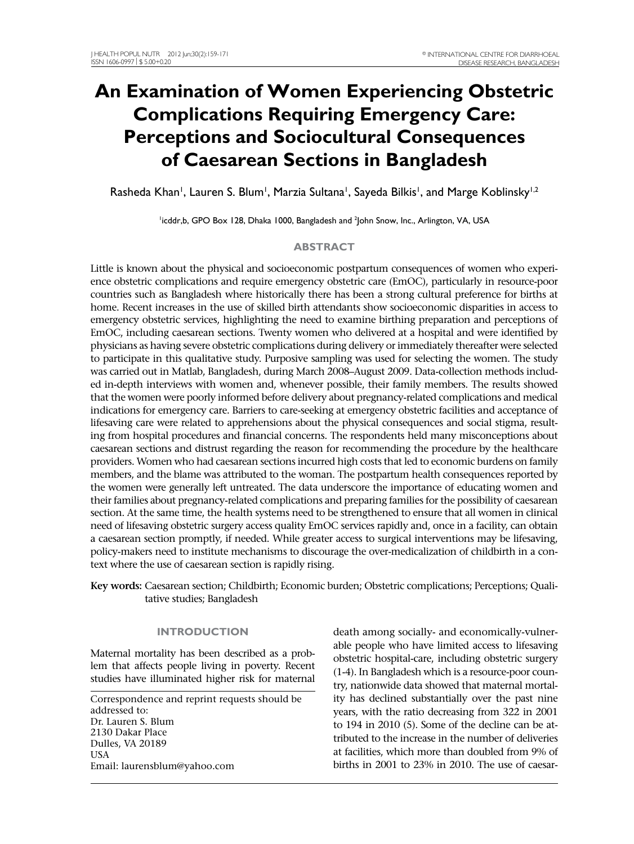# **An Examination of Women Experiencing Obstetric Complications Requiring Emergency Care: Perceptions and Sociocultural Consequences of Caesarean Sections in Bangladesh**

Rasheda Khan<sup>i</sup>, Lauren S. Blum<sup>i</sup>, Marzia Sultana<sup>i</sup>, Sayeda Bilkis<sup>i</sup>, and Marge Koblinsky<sup>i, 2</sup>

<sup>1</sup>icddr,b, GPO Box 128, Dhaka 1000, Bangladesh and <sup>2</sup>John Snow, Inc., Arlington, VA, USA

# **ABSTRACT**

Little is known about the physical and socioeconomic postpartum consequences of women who experience obstetric complications and require emergency obstetric care (EmOC), particularly in resource-poor countries such as Bangladesh where historically there has been a strong cultural preference for births at home. Recent increases in the use of skilled birth attendants show socioeconomic disparities in access to emergency obstetric services, highlighting the need to examine birthing preparation and perceptions of EmOC, including caesarean sections. Twenty women who delivered at a hospital and were identified by physicians as having severe obstetric complications during delivery or immediately thereafter were selected to participate in this qualitative study. Purposive sampling was used for selecting the women. The study was carried out in Matlab, Bangladesh, during March 2008–August 2009. Data-collection methods included in-depth interviews with women and, whenever possible, their family members. The results showed that the women were poorly informed before delivery about pregnancy-related complications and medical indications for emergency care. Barriers to care-seeking at emergency obstetric facilities and acceptance of lifesaving care were related to apprehensions about the physical consequences and social stigma, resulting from hospital procedures and financial concerns. The respondents held many misconceptions about caesarean sections and distrust regarding the reason for recommending the procedure by the healthcare providers. Women who had caesarean sections incurred high costs that led to economic burdens on family members, and the blame was attributed to the woman. The postpartum health consequences reported by the women were generally left untreated. The data underscore the importance of educating women and their families about pregnancy-related complications and preparing families for the possibility of caesarean section. At the same time, the health systems need to be strengthened to ensure that all women in clinical need of lifesaving obstetric surgery access quality EmOC services rapidly and, once in a facility, can obtain a caesarean section promptly, if needed. While greater access to surgical interventions may be lifesaving, policy-makers need to institute mechanisms to discourage the over-medicalization of childbirth in a context where the use of caesarean section is rapidly rising.

**Key words:** Caesarean section; Childbirth; Economic burden; Obstetric complications; Perceptions; Qualitative studies; Bangladesh

# **INTRODUCTION**

Maternal mortality has been described as a problem that affects people living in poverty. Recent studies have illuminated higher risk for maternal

Correspondence and reprint requests should be addressed to: Dr. Lauren S. Blum 2130 Dakar Place Dulles, VA 20189 USA Email: laurensblum@yahoo.com

death among socially- and economically-vulnerable people who have limited access to lifesaving obstetric hospital-care, including obstetric surgery (1-4). In Bangladesh which is a resource-poor country, nationwide data showed that maternal mortality has declined substantially over the past nine years, with the ratio decreasing from 322 in 2001 to 194 in 2010 (5). Some of the decline can be attributed to the increase in the number of deliveries at facilities, which more than doubled from 9% of births in 2001 to 23% in 2010. The use of caesar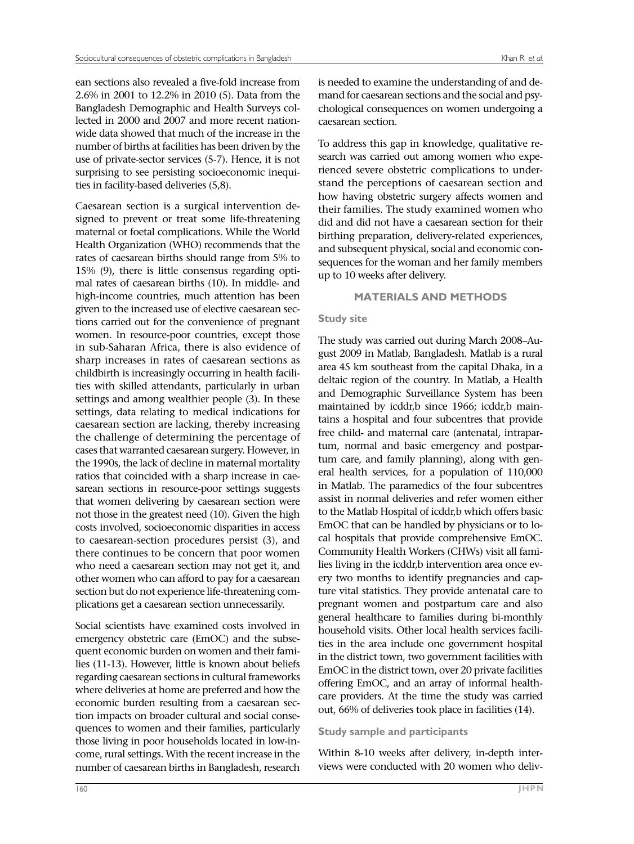ean sections also revealed a five-fold increase from 2.6% in 2001 to 12.2% in 2010 (5). Data from the Bangladesh Demographic and Health Surveys collected in 2000 and 2007 and more recent nationwide data showed that much of the increase in the number of births at facilities has been driven by the use of private-sector services (5-7). Hence, it is not surprising to see persisting socioeconomic inequities in facility-based deliveries (5,8).

Caesarean section is a surgical intervention designed to prevent or treat some life-threatening maternal or foetal complications. While the World Health Organization (WHO) recommends that the rates of caesarean births should range from 5% to 15% (9), there is little consensus regarding optimal rates of caesarean births (10). In middle- and high-income countries, much attention has been given to the increased use of elective caesarean sections carried out for the convenience of pregnant women. In resource-poor countries, except those in sub-Saharan Africa, there is also evidence of sharp increases in rates of caesarean sections as childbirth is increasingly occurring in health facilities with skilled attendants, particularly in urban settings and among wealthier people (3). In these settings, data relating to medical indications for caesarean section are lacking, thereby increasing the challenge of determining the percentage of cases that warranted caesarean surgery. However, in the 1990s, the lack of decline in maternal mortality ratios that coincided with a sharp increase in caesarean sections in resource-poor settings suggests that women delivering by caesarean section were not those in the greatest need (10). Given the high costs involved, socioeconomic disparities in access to caesarean-section procedures persist (3), and there continues to be concern that poor women who need a caesarean section may not get it, and other women who can afford to pay for a caesarean section but do not experience life-threatening complications get a caesarean section unnecessarily.

Social scientists have examined costs involved in emergency obstetric care (EmOC) and the subsequent economic burden on women and their families (11-13). However, little is known about beliefs regarding caesarean sections in cultural frameworks where deliveries at home are preferred and how the economic burden resulting from a caesarean section impacts on broader cultural and social consequences to women and their families, particularly those living in poor households located in low-income, rural settings. With the recent increase in the number of caesarean births in Bangladesh, research

is needed to examine the understanding of and demand for caesarean sections and the social and psychological consequences on women undergoing a caesarean section.

To address this gap in knowledge, qualitative research was carried out among women who experienced severe obstetric complications to understand the perceptions of caesarean section and how having obstetric surgery affects women and their families. The study examined women who did and did not have a caesarean section for their birthing preparation, delivery-related experiences, and subsequent physical, social and economic consequences for the woman and her family members up to 10 weeks after delivery.

# **MATERIALS AND METHODS**

# **Study site**

The study was carried out during March 2008–August 2009 in Matlab, Bangladesh. Matlab is a rural area 45 km southeast from the capital Dhaka, in a deltaic region of the country. In Matlab, a Health and Demographic Surveillance System has been maintained by icddr,b since 1966; icddr,b maintains a hospital and four subcentres that provide free child- and maternal care (antenatal, intrapartum, normal and basic emergency and postpartum care, and family planning), along with general health services, for a population of 110,000 in Matlab. The paramedics of the four subcentres assist in normal deliveries and refer women either to the Matlab Hospital of icddr,b which offers basic EmOC that can be handled by physicians or to local hospitals that provide comprehensive EmOC. Community Health Workers (CHWs) visit all families living in the icddr,b intervention area once every two months to identify pregnancies and capture vital statistics. They provide antenatal care to pregnant women and postpartum care and also general healthcare to families during bi-monthly household visits. Other local health services facilities in the area include one government hospital in the district town, two government facilities with EmOC in the district town, over 20 private facilities offering EmOC, and an array of informal healthcare providers. At the time the study was carried out, 66% of deliveries took place in facilities (14).

# **Study sample and participants**

Within 8-10 weeks after delivery, in-depth interviews were conducted with 20 women who deliv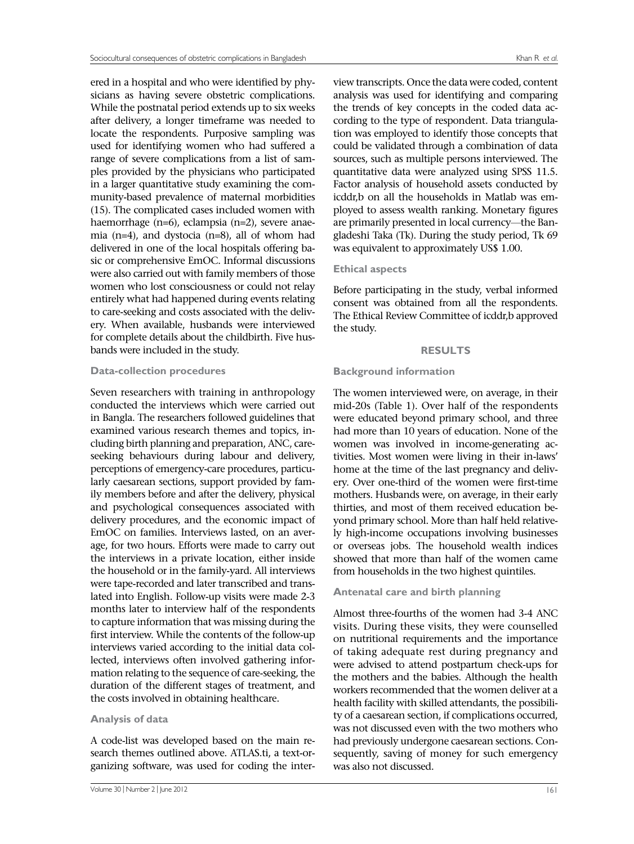ered in a hospital and who were identified by physicians as having severe obstetric complications. While the postnatal period extends up to six weeks after delivery, a longer timeframe was needed to locate the respondents. Purposive sampling was used for identifying women who had suffered a range of severe complications from a list of samples provided by the physicians who participated in a larger quantitative study examining the community-based prevalence of maternal morbidities (15). The complicated cases included women with haemorrhage (n=6), eclampsia (n=2), severe anaemia (n=4), and dystocia (n=8), all of whom had delivered in one of the local hospitals offering basic or comprehensive EmOC. Informal discussions were also carried out with family members of those women who lost consciousness or could not relay entirely what had happened during events relating to care-seeking and costs associated with the delivery. When available, husbands were interviewed for complete details about the childbirth. Five husbands were included in the study.

#### **Data-collection procedures**

Seven researchers with training in anthropology conducted the interviews which were carried out in Bangla. The researchers followed guidelines that examined various research themes and topics, including birth planning and preparation, ANC, careseeking behaviours during labour and delivery, perceptions of emergency-care procedures, particularly caesarean sections, support provided by family members before and after the delivery, physical and psychological consequences associated with delivery procedures, and the economic impact of EmOC on families. Interviews lasted, on an average, for two hours. Efforts were made to carry out the interviews in a private location, either inside the household or in the family-yard. All interviews were tape-recorded and later transcribed and translated into English. Follow-up visits were made 2-3 months later to interview half of the respondents to capture information that was missing during the first interview. While the contents of the follow-up interviews varied according to the initial data collected, interviews often involved gathering information relating to the sequence of care-seeking, the duration of the different stages of treatment, and the costs involved in obtaining healthcare.

## **Analysis of data**

A code-list was developed based on the main research themes outlined above. ATLAS.ti, a text-organizing software, was used for coding the inter-

view transcripts. Once the data were coded, content analysis was used for identifying and comparing the trends of key concepts in the coded data according to the type of respondent. Data triangulation was employed to identify those concepts that could be validated through a combination of data sources, such as multiple persons interviewed. The quantitative data were analyzed using SPSS 11.5. Factor analysis of household assets conducted by icddr,b on all the households in Matlab was employed to assess wealth ranking. Monetary figures are primarily presented in local currency—the Bangladeshi Taka (Tk). During the study period, Tk 69 was equivalent to approximately US\$ 1.00.

## **Ethical aspects**

Before participating in the study, verbal informed consent was obtained from all the respondents. The Ethical Review Committee of icddr,b approved the study.

## **RESULTS**

## **Background information**

The women interviewed were, on average, in their mid-20s (Table 1). Over half of the respondents were educated beyond primary school, and three had more than 10 years of education. None of the women was involved in income-generating activities. Most women were living in their in-laws' home at the time of the last pregnancy and delivery. Over one-third of the women were first-time mothers. Husbands were, on average, in their early thirties, and most of them received education beyond primary school. More than half held relatively high-income occupations involving businesses or overseas jobs. The household wealth indices showed that more than half of the women came from households in the two highest quintiles.

# **Antenatal care and birth planning**

Almost three-fourths of the women had 3-4 ANC visits. During these visits, they were counselled on nutritional requirements and the importance of taking adequate rest during pregnancy and were advised to attend postpartum check-ups for the mothers and the babies. Although the health workers recommended that the women deliver at a health facility with skilled attendants, the possibility of a caesarean section, if complications occurred, was not discussed even with the two mothers who had previously undergone caesarean sections. Consequently, saving of money for such emergency was also not discussed.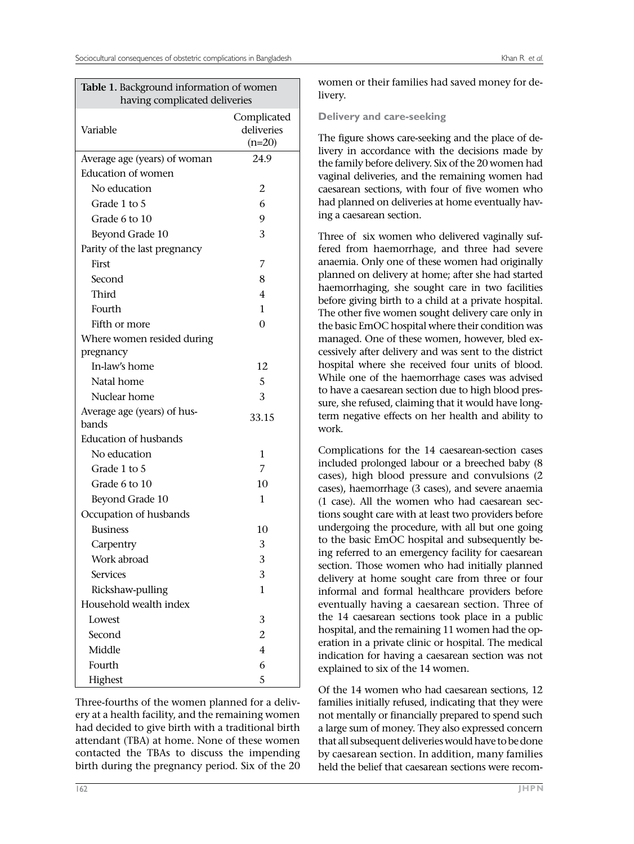| Table 1. Background information of women<br>having complicated deliveries |                                       |  |
|---------------------------------------------------------------------------|---------------------------------------|--|
| Variable                                                                  | Complicated<br>deliveries<br>$(n=20)$ |  |
| Average age (years) of woman                                              | 24.9                                  |  |
| Education of women                                                        |                                       |  |
| No education                                                              | 2                                     |  |
| Grade 1 to 5                                                              | 6                                     |  |
| Grade 6 to 10                                                             | 9                                     |  |
| Beyond Grade 10                                                           | 3                                     |  |
| Parity of the last pregnancy                                              |                                       |  |
| First                                                                     | 7                                     |  |
| Second                                                                    | 8                                     |  |
| Third                                                                     | 4                                     |  |
| Fourth                                                                    | $\mathbf{1}$                          |  |
| Fifth or more                                                             | $\theta$                              |  |
| Where women resided during                                                |                                       |  |
| pregnancy                                                                 |                                       |  |
| In-law's home                                                             | 12                                    |  |
| Natal home                                                                | 5                                     |  |
| Nuclear home                                                              | 3                                     |  |
| Average age (years) of hus-<br>bands                                      | 33.15                                 |  |
| <b>Education of husbands</b>                                              |                                       |  |
| No education                                                              | 1                                     |  |
| Grade 1 to 5                                                              | 7                                     |  |
| Grade 6 to 10                                                             | 10                                    |  |
| Beyond Grade 10                                                           | 1                                     |  |
| Occupation of husbands                                                    |                                       |  |
| <b>Business</b>                                                           | 10                                    |  |
| Carpentry                                                                 | 3                                     |  |
| Work abroad                                                               | 3                                     |  |
| <b>Services</b>                                                           | 3                                     |  |
| Rickshaw-pulling                                                          | $\mathbf{1}$                          |  |
| Household wealth index                                                    |                                       |  |
| Lowest                                                                    | 3                                     |  |
| Second                                                                    | 2                                     |  |
| Middle                                                                    | 4                                     |  |
| Fourth                                                                    | 6                                     |  |
| Highest                                                                   | 5                                     |  |

Three-fourths of the women planned for a delivery at a health facility, and the remaining women had decided to give birth with a traditional birth attendant (TBA) at home. None of these women contacted the TBAs to discuss the impending birth during the pregnancy period. Six of the 20

women or their families had saved money for delivery.

## **Delivery and care-seeking**

The figure shows care-seeking and the place of delivery in accordance with the decisions made by the family before delivery. Six of the 20 women had vaginal deliveries, and the remaining women had caesarean sections, with four of five women who had planned on deliveries at home eventually having a caesarean section.

Three of six women who delivered vaginally suffered from haemorrhage, and three had severe anaemia. Only one of these women had originally planned on delivery at home; after she had started haemorrhaging, she sought care in two facilities before giving birth to a child at a private hospital. The other five women sought delivery care only in the basic EmOC hospital where their condition was managed. One of these women, however, bled excessively after delivery and was sent to the district hospital where she received four units of blood. While one of the haemorrhage cases was advised to have a caesarean section due to high blood pressure, she refused, claiming that it would have longterm negative effects on her health and ability to work.

Complications for the 14 caesarean-section cases included prolonged labour or a breeched baby (8 cases), high blood pressure and convulsions (2 cases), haemorrhage (3 cases), and severe anaemia (1 case). All the women who had caesarean sections sought care with at least two providers before undergoing the procedure, with all but one going to the basic EmOC hospital and subsequently being referred to an emergency facility for caesarean section. Those women who had initially planned delivery at home sought care from three or four informal and formal healthcare providers before eventually having a caesarean section. Three of the 14 caesarean sections took place in a public hospital, and the remaining 11 women had the operation in a private clinic or hospital. The medical indication for having a caesarean section was not explained to six of the 14 women.

Of the 14 women who had caesarean sections, 12 families initially refused, indicating that they were not mentally or financially prepared to spend such a large sum of money. They also expressed concern that all subsequent deliveries would have to be done by caesarean section. In addition, many families held the belief that caesarean sections were recom-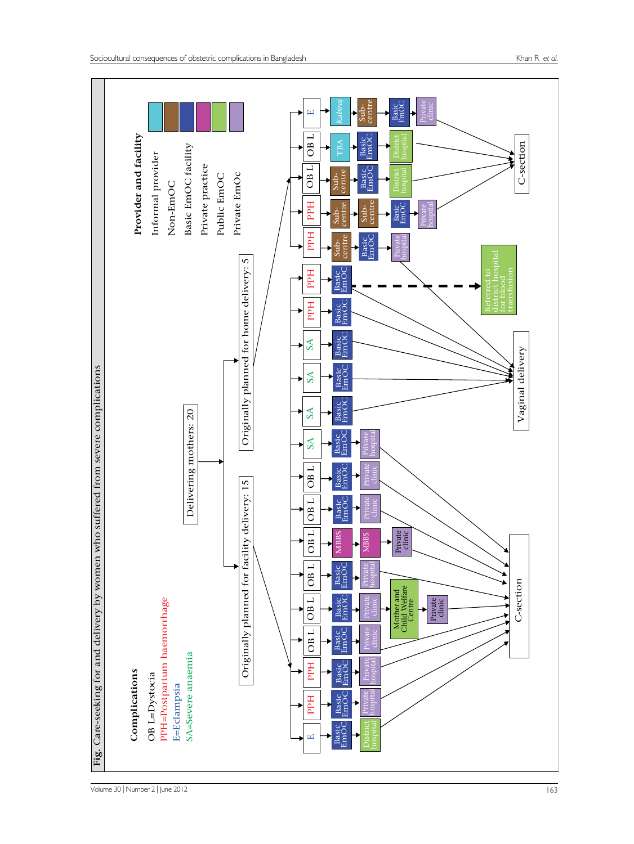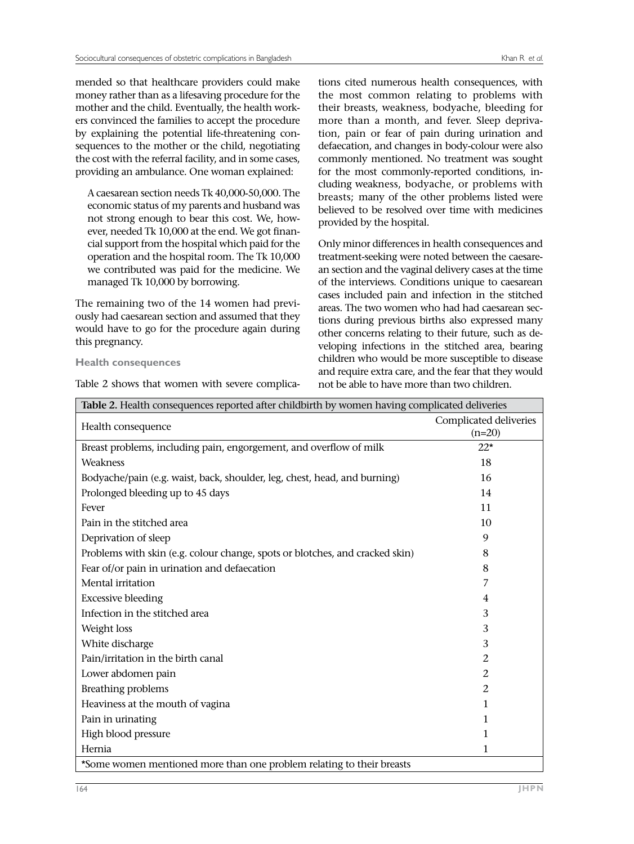mended so that healthcare providers could make money rather than as a lifesaving procedure for the mother and the child. Eventually, the health workers convinced the families to accept the procedure by explaining the potential life-threatening consequences to the mother or the child, negotiating the cost with the referral facility, and in some cases, providing an ambulance. One woman explained:

A caesarean section needs Tk 40,000-50,000. The economic status of my parents and husband was not strong enough to bear this cost. We, however, needed Tk 10,000 at the end. We got financial support from the hospital which paid for the operation and the hospital room. The Tk 10,000 we contributed was paid for the medicine. We managed Tk 10,000 by borrowing.

The remaining two of the 14 women had previously had caesarean section and assumed that they would have to go for the procedure again during this pregnancy.

#### **Health consequences**

Table 2 shows that women with severe complica-

tions cited numerous health consequences, with the most common relating to problems with their breasts, weakness, bodyache, bleeding for more than a month, and fever. Sleep deprivation, pain or fear of pain during urination and defaecation, and changes in body-colour were also commonly mentioned. No treatment was sought for the most commonly-reported conditions, including weakness, bodyache, or problems with breasts; many of the other problems listed were believed to be resolved over time with medicines provided by the hospital.

Only minor differences in health consequences and treatment-seeking were noted between the caesarean section and the vaginal delivery cases at the time of the interviews. Conditions unique to caesarean cases included pain and infection in the stitched areas. The two women who had had caesarean sections during previous births also expressed many other concerns relating to their future, such as developing infections in the stitched area, bearing children who would be more susceptible to disease and require extra care, and the fear that they would not be able to have more than two children.

| Table 2. Health consequences reported after childbirth by women having complicated deliveries |                        |  |
|-----------------------------------------------------------------------------------------------|------------------------|--|
|                                                                                               | Complicated deliveries |  |
| Health consequence                                                                            | $(n=20)$               |  |
| Breast problems, including pain, engorgement, and overflow of milk                            | $22*$                  |  |
| Weakness                                                                                      | 18                     |  |
| Bodyache/pain (e.g. waist, back, shoulder, leg, chest, head, and burning)                     | 16                     |  |
| Prolonged bleeding up to 45 days                                                              | 14                     |  |
| Fever                                                                                         | 11                     |  |
| Pain in the stitched area                                                                     | 10                     |  |
| Deprivation of sleep                                                                          | 9                      |  |
| Problems with skin (e.g. colour change, spots or blotches, and cracked skin)                  | 8                      |  |
| Fear of/or pain in urination and defaecation                                                  | 8                      |  |
| Mental irritation                                                                             | 7                      |  |
| <b>Excessive bleeding</b>                                                                     | 4                      |  |
| Infection in the stitched area                                                                | 3                      |  |
| Weight loss                                                                                   | 3                      |  |
| White discharge                                                                               | 3                      |  |
| Pain/irritation in the birth canal                                                            | 2                      |  |
| Lower abdomen pain                                                                            | 2                      |  |
| <b>Breathing problems</b>                                                                     | 2                      |  |
| Heaviness at the mouth of vagina                                                              | 1                      |  |
| Pain in urinating                                                                             | 1                      |  |
| High blood pressure                                                                           | 1                      |  |
| Hernia                                                                                        | 1                      |  |
| *Some women mentioned more than one problem relating to their breasts                         |                        |  |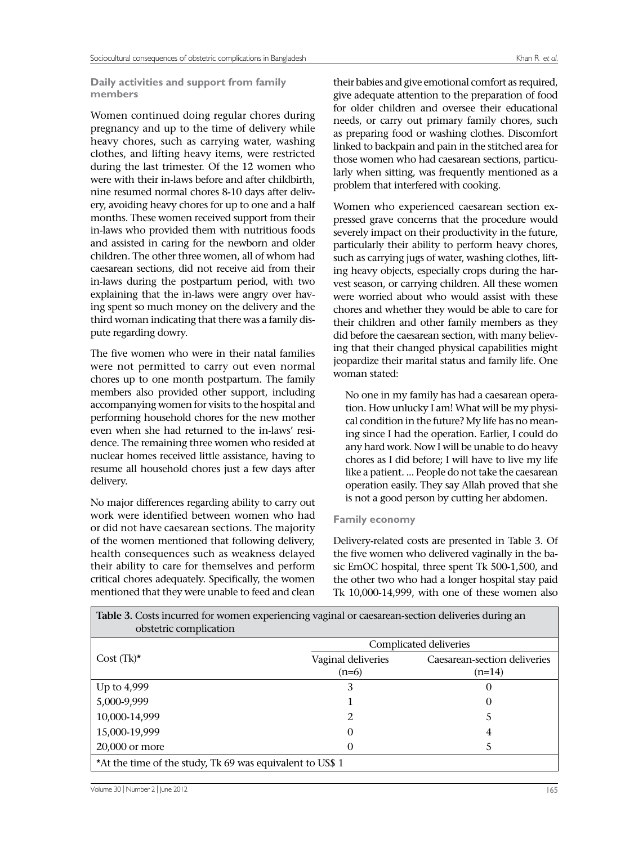## **Daily activities and support from family members**

Women continued doing regular chores during pregnancy and up to the time of delivery while heavy chores, such as carrying water, washing clothes, and lifting heavy items, were restricted during the last trimester. Of the 12 women who were with their in-laws before and after childbirth, nine resumed normal chores 8-10 days after delivery, avoiding heavy chores for up to one and a half months. These women received support from their in-laws who provided them with nutritious foods and assisted in caring for the newborn and older children. The other three women, all of whom had caesarean sections, did not receive aid from their in-laws during the postpartum period, with two explaining that the in-laws were angry over having spent so much money on the delivery and the third woman indicating that there was a family dispute regarding dowry.

The five women who were in their natal families were not permitted to carry out even normal chores up to one month postpartum. The family members also provided other support, including accompanying women for visits to the hospital and performing household chores for the new mother even when she had returned to the in-laws' residence. The remaining three women who resided at nuclear homes received little assistance, having to resume all household chores just a few days after delivery.

No major differences regarding ability to carry out work were identified between women who had or did not have caesarean sections. The majority of the women mentioned that following delivery, health consequences such as weakness delayed their ability to care for themselves and perform critical chores adequately. Specifically, the women mentioned that they were unable to feed and clean

their babies and give emotional comfort as required, give adequate attention to the preparation of food for older children and oversee their educational needs, or carry out primary family chores, such as preparing food or washing clothes. Discomfort linked to backpain and pain in the stitched area for those women who had caesarean sections, particularly when sitting, was frequently mentioned as a problem that interfered with cooking.

Women who experienced caesarean section expressed grave concerns that the procedure would severely impact on their productivity in the future, particularly their ability to perform heavy chores, such as carrying jugs of water, washing clothes, lifting heavy objects, especially crops during the harvest season, or carrying children. All these women were worried about who would assist with these chores and whether they would be able to care for their children and other family members as they did before the caesarean section, with many believing that their changed physical capabilities might jeopardize their marital status and family life. One woman stated:

No one in my family has had a caesarean operation. How unlucky I am! What will be my physical condition in the future? My life has no meaning since I had the operation. Earlier, I could do any hard work. Now I will be unable to do heavy chores as I did before; I will have to live my life like a patient. ... People do not take the caesarean operation easily. They say Allah proved that she is not a good person by cutting her abdomen.

# **Family economy**

Delivery-related costs are presented in Table 3. Of the five women who delivered vaginally in the basic EmOC hospital, three spent Tk 500-1,500, and the other two who had a longer hospital stay paid Tk 10,000-14,999, with one of these women also

| obstetric complication                                    |                               | Complicated deliveries                   |  |
|-----------------------------------------------------------|-------------------------------|------------------------------------------|--|
| Cost $(Tk)^*$                                             | Vaginal deliveries<br>$(n=6)$ | Caesarean-section deliveries<br>$(n=14)$ |  |
| Up to 4,999                                               | 3                             | 0                                        |  |
| 5,000-9,999                                               |                               | 0                                        |  |
| 10,000-14,999                                             |                               |                                          |  |
| 15,000-19,999                                             | 0                             | 4                                        |  |
| 20,000 or more                                            | 0                             |                                          |  |
| *At the time of the study, Tk 69 was equivalent to US\$ 1 |                               |                                          |  |

**Table 3.** Costs incurred for women experiencing vaginal or caesarean-section deliveries during an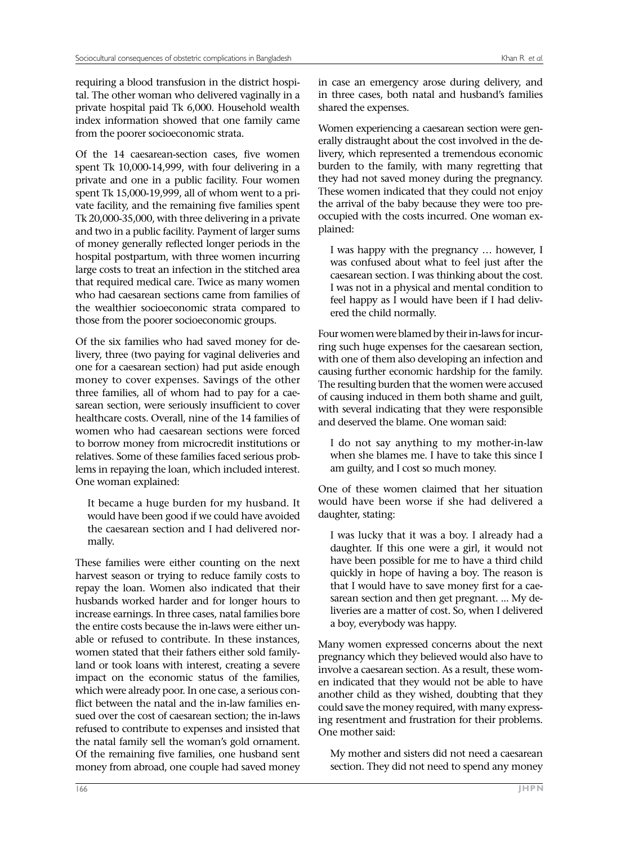requiring a blood transfusion in the district hospital. The other woman who delivered vaginally in a private hospital paid Tk 6,000. Household wealth index information showed that one family came from the poorer socioeconomic strata.

Of the 14 caesarean-section cases, five women spent Tk 10,000-14,999, with four delivering in a private and one in a public facility. Four women spent Tk 15,000-19,999, all of whom went to a private facility, and the remaining five families spent Tk 20,000-35,000, with three delivering in a private and two in a public facility. Payment of larger sums of money generally reflected longer periods in the hospital postpartum, with three women incurring large costs to treat an infection in the stitched area that required medical care. Twice as many women who had caesarean sections came from families of the wealthier socioeconomic strata compared to those from the poorer socioeconomic groups.

Of the six families who had saved money for delivery, three (two paying for vaginal deliveries and one for a caesarean section) had put aside enough money to cover expenses. Savings of the other three families, all of whom had to pay for a caesarean section, were seriously insufficient to cover healthcare costs. Overall, nine of the 14 families of women who had caesarean sections were forced to borrow money from microcredit institutions or relatives. Some of these families faced serious problems in repaying the loan, which included interest. One woman explained:

It became a huge burden for my husband. It would have been good if we could have avoided the caesarean section and I had delivered normally.

These families were either counting on the next harvest season or trying to reduce family costs to repay the loan. Women also indicated that their husbands worked harder and for longer hours to increase earnings. In three cases, natal families bore the entire costs because the in-laws were either unable or refused to contribute. In these instances, women stated that their fathers either sold familyland or took loans with interest, creating a severe impact on the economic status of the families, which were already poor. In one case, a serious conflict between the natal and the in-law families ensued over the cost of caesarean section; the in-laws refused to contribute to expenses and insisted that the natal family sell the woman's gold ornament. Of the remaining five families, one husband sent money from abroad, one couple had saved money

in case an emergency arose during delivery, and in three cases, both natal and husband's families shared the expenses.

Women experiencing a caesarean section were generally distraught about the cost involved in the delivery, which represented a tremendous economic burden to the family, with many regretting that they had not saved money during the pregnancy. These women indicated that they could not enjoy the arrival of the baby because they were too preoccupied with the costs incurred. One woman explained:

I was happy with the pregnancy … however, I was confused about what to feel just after the caesarean section. I was thinking about the cost. I was not in a physical and mental condition to feel happy as I would have been if I had delivered the child normally.

Four women were blamed by their in-laws for incurring such huge expenses for the caesarean section, with one of them also developing an infection and causing further economic hardship for the family. The resulting burden that the women were accused of causing induced in them both shame and guilt, with several indicating that they were responsible and deserved the blame. One woman said:

I do not say anything to my mother-in-law when she blames me. I have to take this since I am guilty, and I cost so much money.

One of these women claimed that her situation would have been worse if she had delivered a daughter, stating:

I was lucky that it was a boy. I already had a daughter. If this one were a girl, it would not have been possible for me to have a third child quickly in hope of having a boy. The reason is that I would have to save money first for a caesarean section and then get pregnant. ... My deliveries are a matter of cost. So, when I delivered a boy, everybody was happy.

Many women expressed concerns about the next pregnancy which they believed would also have to involve a caesarean section. As a result, these women indicated that they would not be able to have another child as they wished, doubting that they could save the money required, with many expressing resentment and frustration for their problems. One mother said:

My mother and sisters did not need a caesarean section. They did not need to spend any money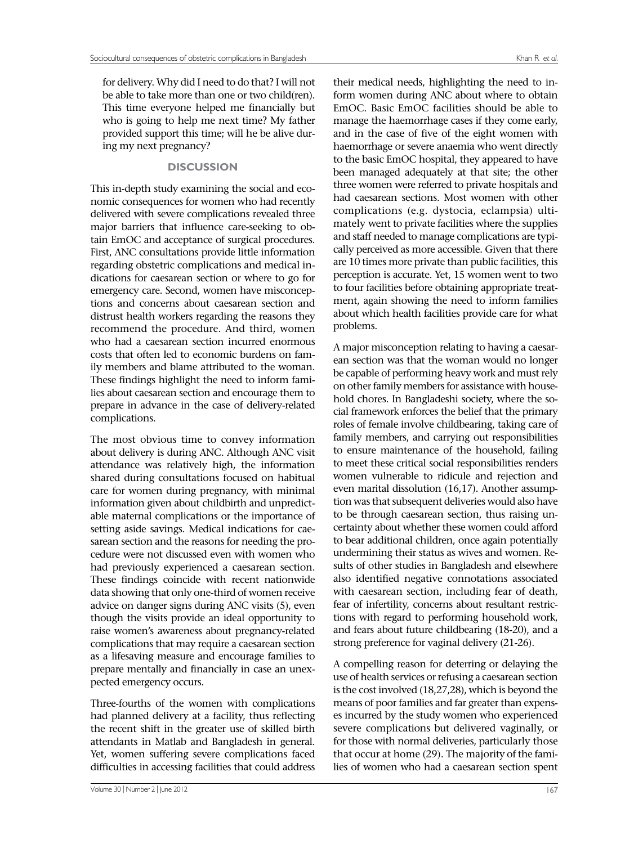for delivery. Why did I need to do that? I will not be able to take more than one or two child(ren). This time everyone helped me financially but who is going to help me next time? My father provided support this time; will he be alive during my next pregnancy?

## **DISCUSSION**

This in-depth study examining the social and economic consequences for women who had recently delivered with severe complications revealed three major barriers that influence care-seeking to obtain EmOC and acceptance of surgical procedures. First, ANC consultations provide little information regarding obstetric complications and medical indications for caesarean section or where to go for emergency care. Second, women have misconceptions and concerns about caesarean section and distrust health workers regarding the reasons they recommend the procedure. And third, women who had a caesarean section incurred enormous costs that often led to economic burdens on family members and blame attributed to the woman. These findings highlight the need to inform families about caesarean section and encourage them to prepare in advance in the case of delivery-related complications.

The most obvious time to convey information about delivery is during ANC. Although ANC visit attendance was relatively high, the information shared during consultations focused on habitual care for women during pregnancy, with minimal information given about childbirth and unpredictable maternal complications or the importance of setting aside savings. Medical indications for caesarean section and the reasons for needing the procedure were not discussed even with women who had previously experienced a caesarean section. These findings coincide with recent nationwide data showing that only one-third of women receive advice on danger signs during ANC visits (5), even though the visits provide an ideal opportunity to raise women's awareness about pregnancy-related complications that may require a caesarean section as a lifesaving measure and encourage families to prepare mentally and financially in case an unexpected emergency occurs.

Three-fourths of the women with complications had planned delivery at a facility, thus reflecting the recent shift in the greater use of skilled birth attendants in Matlab and Bangladesh in general. Yet, women suffering severe complications faced difficulties in accessing facilities that could address

their medical needs, highlighting the need to inform women during ANC about where to obtain EmOC. Basic EmOC facilities should be able to manage the haemorrhage cases if they come early, and in the case of five of the eight women with haemorrhage or severe anaemia who went directly to the basic EmOC hospital, they appeared to have been managed adequately at that site; the other three women were referred to private hospitals and had caesarean sections. Most women with other complications (e.g. dystocia, eclampsia) ultimately went to private facilities where the supplies and staff needed to manage complications are typically perceived as more accessible. Given that there are 10 times more private than public facilities, this perception is accurate. Yet, 15 women went to two to four facilities before obtaining appropriate treatment, again showing the need to inform families about which health facilities provide care for what problems.

A major misconception relating to having a caesarean section was that the woman would no longer be capable of performing heavy work and must rely on other family members for assistance with household chores. In Bangladeshi society, where the social framework enforces the belief that the primary roles of female involve childbearing, taking care of family members, and carrying out responsibilities to ensure maintenance of the household, failing to meet these critical social responsibilities renders women vulnerable to ridicule and rejection and even marital dissolution (16,17). Another assumption was that subsequent deliveries would also have to be through caesarean section, thus raising uncertainty about whether these women could afford to bear additional children, once again potentially undermining their status as wives and women. Results of other studies in Bangladesh and elsewhere also identified negative connotations associated with caesarean section, including fear of death, fear of infertility, concerns about resultant restrictions with regard to performing household work, and fears about future childbearing (18-20), and a strong preference for vaginal delivery (21-26).

A compelling reason for deterring or delaying the use of health services or refusing a caesarean section is the cost involved (18,27,28), which is beyond the means of poor families and far greater than expenses incurred by the study women who experienced severe complications but delivered vaginally, or for those with normal deliveries, particularly those that occur at home (29). The majority of the families of women who had a caesarean section spent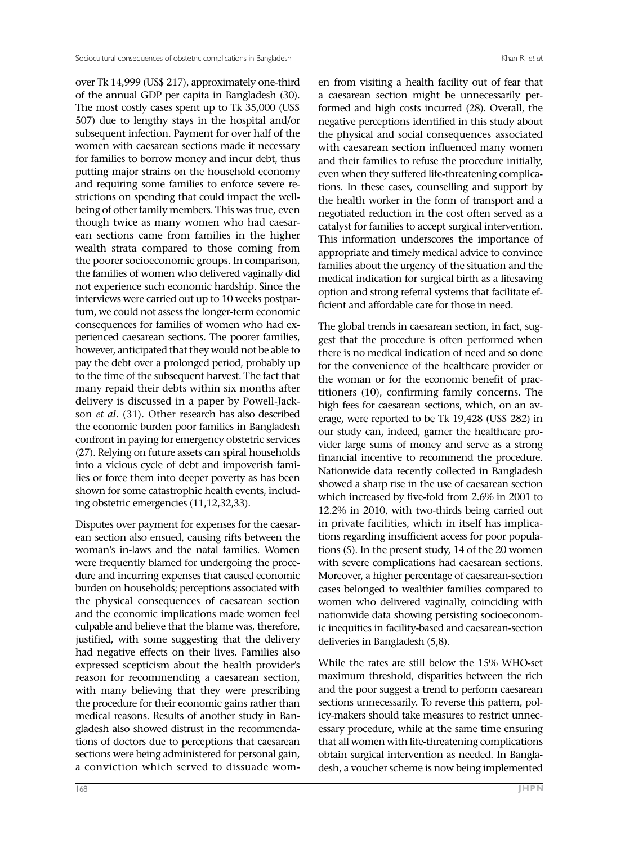over Tk 14,999 (US\$ 217), approximately one-third of the annual GDP per capita in Bangladesh (30). The most costly cases spent up to Tk 35,000 (US\$ 507) due to lengthy stays in the hospital and/or subsequent infection. Payment for over half of the women with caesarean sections made it necessary for families to borrow money and incur debt, thus putting major strains on the household economy and requiring some families to enforce severe restrictions on spending that could impact the wellbeing of other family members. This was true, even though twice as many women who had caesarean sections came from families in the higher wealth strata compared to those coming from the poorer socioeconomic groups. In comparison, the families of women who delivered vaginally did not experience such economic hardship. Since the interviews were carried out up to 10 weeks postpartum, we could not assess the longer-term economic consequences for families of women who had experienced caesarean sections. The poorer families, however, anticipated that they would not be able to pay the debt over a prolonged period, probably up to the time of the subsequent harvest. The fact that many repaid their debts within six months after delivery is discussed in a paper by Powell-Jackson *et al.* (31). Other research has also described the economic burden poor families in Bangladesh confront in paying for emergency obstetric services (27). Relying on future assets can spiral households into a vicious cycle of debt and impoverish families or force them into deeper poverty as has been shown for some catastrophic health events, including obstetric emergencies (11,12,32,33).

Disputes over payment for expenses for the caesarean section also ensued, causing rifts between the woman's in-laws and the natal families. Women were frequently blamed for undergoing the procedure and incurring expenses that caused economic burden on households; perceptions associated with the physical consequences of caesarean section and the economic implications made women feel culpable and believe that the blame was, therefore, justified, with some suggesting that the delivery had negative effects on their lives. Families also expressed scepticism about the health provider's reason for recommending a caesarean section, with many believing that they were prescribing the procedure for their economic gains rather than medical reasons. Results of another study in Bangladesh also showed distrust in the recommendations of doctors due to perceptions that caesarean sections were being administered for personal gain, a conviction which served to dissuade women from visiting a health facility out of fear that a caesarean section might be unnecessarily performed and high costs incurred (28). Overall, the negative perceptions identified in this study about the physical and social consequences associated with caesarean section influenced many women and their families to refuse the procedure initially, even when they suffered life-threatening complications. In these cases, counselling and support by the health worker in the form of transport and a negotiated reduction in the cost often served as a catalyst for families to accept surgical intervention. This information underscores the importance of appropriate and timely medical advice to convince families about the urgency of the situation and the medical indication for surgical birth as a lifesaving option and strong referral systems that facilitate efficient and affordable care for those in need.

The global trends in caesarean section, in fact, suggest that the procedure is often performed when there is no medical indication of need and so done for the convenience of the healthcare provider or the woman or for the economic benefit of practitioners (10), confirming family concerns. The high fees for caesarean sections, which, on an average, were reported to be Tk 19,428 (US\$ 282) in our study can, indeed, garner the healthcare provider large sums of money and serve as a strong financial incentive to recommend the procedure. Nationwide data recently collected in Bangladesh showed a sharp rise in the use of caesarean section which increased by five-fold from 2.6% in 2001 to 12.2% in 2010, with two-thirds being carried out in private facilities, which in itself has implications regarding insufficient access for poor populations (5). In the present study, 14 of the 20 women with severe complications had caesarean sections. Moreover, a higher percentage of caesarean-section cases belonged to wealthier families compared to women who delivered vaginally, coinciding with nationwide data showing persisting socioeconomic inequities in facility-based and caesarean-section deliveries in Bangladesh (5,8).

While the rates are still below the 15% WHO-set maximum threshold, disparities between the rich and the poor suggest a trend to perform caesarean sections unnecessarily. To reverse this pattern, policy-makers should take measures to restrict unnecessary procedure, while at the same time ensuring that all women with life-threatening complications obtain surgical intervention as needed. In Bangladesh, a voucher scheme is now being implemented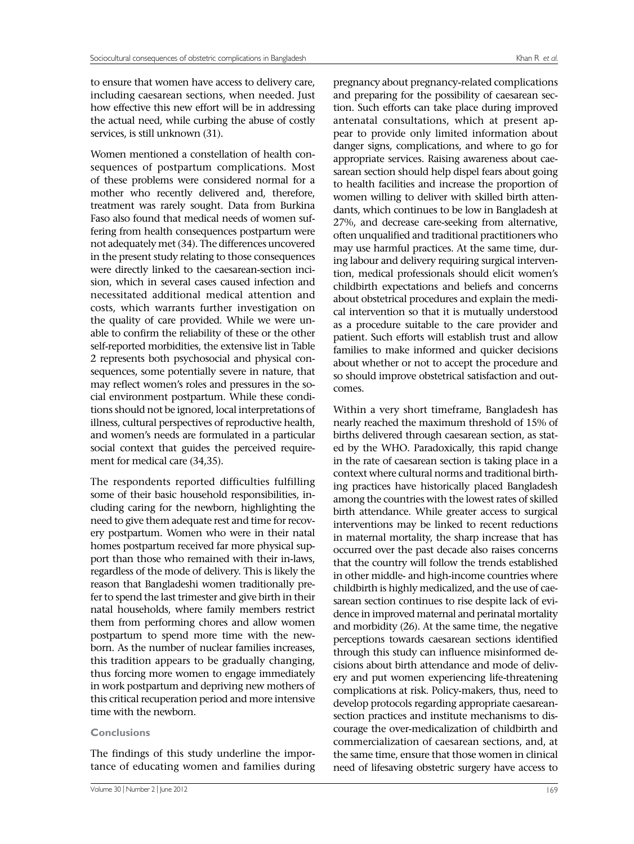to ensure that women have access to delivery care, including caesarean sections, when needed. Just how effective this new effort will be in addressing the actual need, while curbing the abuse of costly services, is still unknown (31).

Women mentioned a constellation of health consequences of postpartum complications. Most of these problems were considered normal for a mother who recently delivered and, therefore, treatment was rarely sought. Data from Burkina Faso also found that medical needs of women suffering from health consequences postpartum were not adequately met (34). The differences uncovered in the present study relating to those consequences were directly linked to the caesarean-section incision, which in several cases caused infection and necessitated additional medical attention and costs, which warrants further investigation on the quality of care provided. While we were unable to confirm the reliability of these or the other self-reported morbidities, the extensive list in Table 2 represents both psychosocial and physical consequences, some potentially severe in nature, that may reflect women's roles and pressures in the social environment postpartum. While these conditions should not be ignored, local interpretations of illness, cultural perspectives of reproductive health, and women's needs are formulated in a particular social context that guides the perceived requirement for medical care (34,35).

The respondents reported difficulties fulfilling some of their basic household responsibilities, including caring for the newborn, highlighting the need to give them adequate rest and time for recovery postpartum. Women who were in their natal homes postpartum received far more physical support than those who remained with their in-laws, regardless of the mode of delivery. This is likely the reason that Bangladeshi women traditionally prefer to spend the last trimester and give birth in their natal households, where family members restrict them from performing chores and allow women postpartum to spend more time with the newborn. As the number of nuclear families increases, this tradition appears to be gradually changing, thus forcing more women to engage immediately in work postpartum and depriving new mothers of this critical recuperation period and more intensive time with the newborn.

## **Conclusions**

The findings of this study underline the importance of educating women and families during

pregnancy about pregnancy-related complications and preparing for the possibility of caesarean section. Such efforts can take place during improved antenatal consultations, which at present appear to provide only limited information about danger signs, complications, and where to go for appropriate services. Raising awareness about caesarean section should help dispel fears about going to health facilities and increase the proportion of women willing to deliver with skilled birth attendants, which continues to be low in Bangladesh at 27%, and decrease care-seeking from alternative, often unqualified and traditional practitioners who may use harmful practices. At the same time, during labour and delivery requiring surgical intervention, medical professionals should elicit women's childbirth expectations and beliefs and concerns about obstetrical procedures and explain the medical intervention so that it is mutually understood as a procedure suitable to the care provider and patient. Such efforts will establish trust and allow families to make informed and quicker decisions about whether or not to accept the procedure and so should improve obstetrical satisfaction and outcomes.

Within a very short timeframe, Bangladesh has nearly reached the maximum threshold of 15% of births delivered through caesarean section, as stated by the WHO. Paradoxically, this rapid change in the rate of caesarean section is taking place in a context where cultural norms and traditional birthing practices have historically placed Bangladesh among the countries with the lowest rates of skilled birth attendance. While greater access to surgical interventions may be linked to recent reductions in maternal mortality, the sharp increase that has occurred over the past decade also raises concerns that the country will follow the trends established in other middle- and high-income countries where childbirth is highly medicalized, and the use of caesarean section continues to rise despite lack of evidence in improved maternal and perinatal mortality and morbidity (26). At the same time, the negative perceptions towards caesarean sections identified through this study can influence misinformed decisions about birth attendance and mode of delivery and put women experiencing life-threatening complications at risk. Policy-makers, thus, need to develop protocols regarding appropriate caesareansection practices and institute mechanisms to discourage the over-medicalization of childbirth and commercialization of caesarean sections, and, at the same time, ensure that those women in clinical need of lifesaving obstetric surgery have access to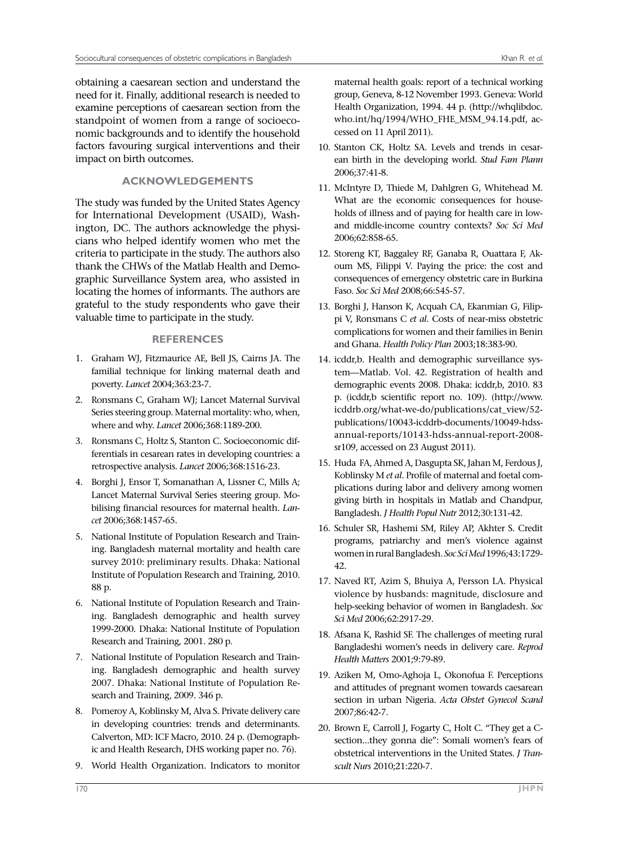obtaining a caesarean section and understand the need for it. Finally, additional research is needed to examine perceptions of caesarean section from the standpoint of women from a range of socioeconomic backgrounds and to identify the household factors favouring surgical interventions and their impact on birth outcomes.

# **ACKNOWLEDGEMENTS**

The study was funded by the United States Agency for International Development (USAID), Washington, DC. The authors acknowledge the physicians who helped identify women who met the criteria to participate in the study. The authors also thank the CHWs of the Matlab Health and Demographic Surveillance System area, who assisted in locating the homes of informants. The authors are grateful to the study respondents who gave their valuable time to participate in the study.

# **REFERENCES**

- 1. Graham WJ, Fitzmaurice AE, Bell JS, Cairns JA. The familial technique for linking maternal death and poverty. *Lancet* 2004;363:23-7.
- 2. Ronsmans C, Graham WJ; Lancet Maternal Survival Series steering group. Maternal mortality: who, when, where and why. *Lancet* 2006;368:1189-200.
- 3. Ronsmans C, Holtz S, Stanton C. Socioeconomic differentials in cesarean rates in developing countries: a retrospective analysis. *Lancet* 2006;368:1516-23.
- 4. Borghi J, Ensor T, Somanathan A, Lissner C, Mills A; Lancet Maternal Survival Series steering group. Mobilising financial resources for maternal health. *Lancet* 2006;368:1457-65.
- 5. National Institute of Population Research and Training. Bangladesh maternal mortality and health care survey 2010: preliminary results. Dhaka: National Institute of Population Research and Training, 2010. 88 p.
- 6. National Institute of Population Research and Training. Bangladesh demographic and health survey 1999-2000*.* Dhaka: National Institute of Population Research and Training, 2001. 280 p.
- 7. National Institute of Population Research and Training. Bangladesh demographic and health survey 2007. Dhaka: National Institute of Population Research and Training, 2009. 346 p.
- 8. Pomeroy A, Koblinsky M, Alva S. Private delivery care in developing countries: trends and determinants. Calverton, MD: ICF Macro, 2010. 24 p. (Demographic and Health Research, DHS working paper no. 76).
- 9. World Health Organization. Indicators to monitor

maternal health goals: report of a technical working group, Geneva, 8-12 November 1993. Geneva: World Health Organization, 1994. 44 p. (http://whqlibdoc. who.int/hq/1994/WHO\_FHE\_MSM\_94.14.pdf, accessed on 11 April 2011).

- 10. Stanton CK, Holtz SA. Levels and trends in cesarean birth in the developing world. *Stud Fam Plann*  2006;37:41-8.
- 11. McIntyre D, Thiede M, Dahlgren G, Whitehead M. What are the economic consequences for households of illness and of paying for health care in lowand middle-income country contexts? *Soc Sci Med* 2006;62:858-65.
- 12. Storeng KT, Baggaley RF, Ganaba R, Ouattara F, Akoum MS, Filippi V. Paying the price: the cost and consequences of emergency obstetric care in Burkina Faso. *Soc Sci Med* 2008;66:545-57.
- 13. Borghi J, Hanson K, Acquah CA, Ekanmian G, Filippi V, Ronsmans C *et al*. Costs of near-miss obstetric complications for women and their families in Benin and Ghana. *Health Policy Plan* 2003;18:383-90.
- 14. icddr,b. Health and demographic surveillance system—Matlab. Vol. 42. Registration of health and demographic events 2008. Dhaka: icddr,b, 2010. 83 p. (icddr,b scientific report no. 109). (http://www. icddrb.org/what-we-do/publications/cat\_view/52 publications/10043-icddrb-documents/10049-hdssannual-reports/10143-hdss-annual-report-2008 sr109, accessed on 23 August 2011).
- 15. Huda FA, Ahmed A, Dasgupta SK, Jahan M, Ferdous J, Koblinsky M *et al*. Profile of maternal and foetal complications during labor and delivery among women giving birth in hospitals in Matlab and Chandpur, Bangladesh. *J Health Popul Nutr* 2012;30:131-42.
- 16. Schuler SR, Hashemi SM, Riley AP, Akhter S. Credit programs, patriarchy and men's violence against women in rural Bangladesh. *Soc Sci Med* 1996;43:1729- 42.
- 17. Naved RT, Azim S, Bhuiya A, Persson LA. Physical violence by husbands: magnitude, disclosure and help-seeking behavior of women in Bangladesh. *Soc Sci Med* 2006;62:2917-29.
- 18. Afsana K, Rashid SF. The challenges of meeting rural Bangladeshi women's needs in delivery care. *Reprod Health Matters* 2001;9:79-89.
- 19. Aziken M, Omo-Aghoja L, Okonofua F. Perceptions and attitudes of pregnant women towards caesarean section in urban Nigeria. *Acta Obstet Gynecol Scand* 2007;86:42-7.
- 20. Brown E, Carroll J, Fogarty C, Holt C. "They get a Csection...they gonna die": Somali women's fears of obstetrical interventions in the United States. *J Transcult Nurs* 2010;21:220-7.